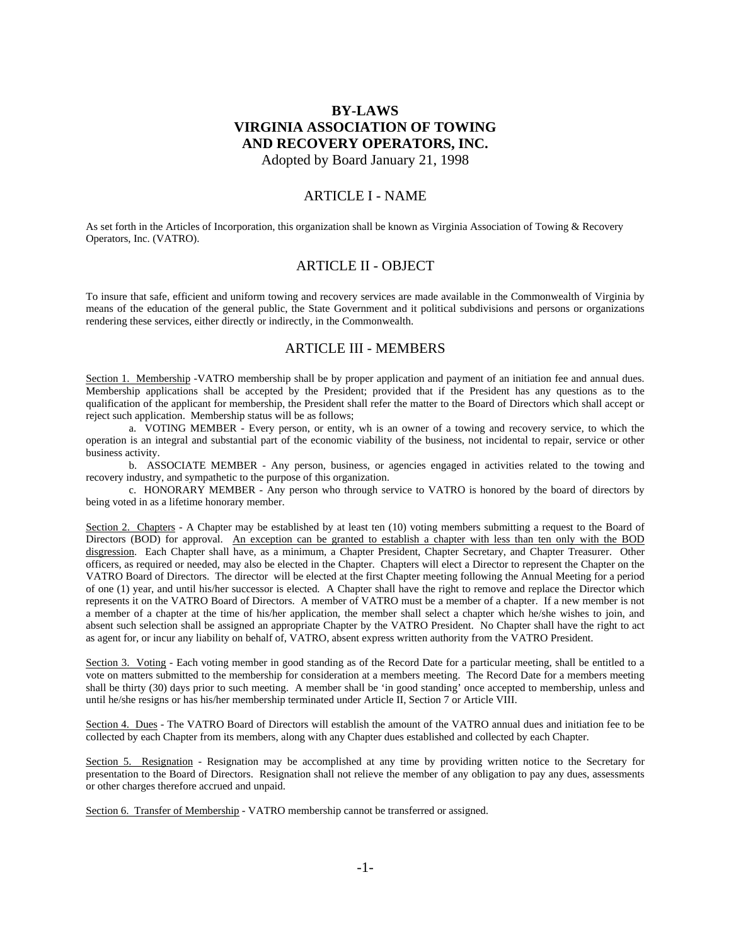# **BY-LAWS VIRGINIA ASSOCIATION OF TOWING AND RECOVERY OPERATORS, INC.** Adopted by Board January 21, 1998

### ARTICLE I - NAME

As set forth in the Articles of Incorporation, this organization shall be known as Virginia Association of Towing & Recovery Operators, Inc. (VATRO).

### ARTICLE II - OBJECT

To insure that safe, efficient and uniform towing and recovery services are made available in the Commonwealth of Virginia by means of the education of the general public, the State Government and it political subdivisions and persons or organizations rendering these services, either directly or indirectly, in the Commonwealth.

### ARTICLE III - MEMBERS

Section 1. Membership -VATRO membership shall be by proper application and payment of an initiation fee and annual dues. Membership applications shall be accepted by the President; provided that if the President has any questions as to the qualification of the applicant for membership, the President shall refer the matter to the Board of Directors which shall accept or reject such application. Membership status will be as follows;

 a. VOTING MEMBER - Every person, or entity, wh is an owner of a towing and recovery service, to which the operation is an integral and substantial part of the economic viability of the business, not incidental to repair, service or other business activity.

 b. ASSOCIATE MEMBER - Any person, business, or agencies engaged in activities related to the towing and recovery industry, and sympathetic to the purpose of this organization.

 c. HONORARY MEMBER - Any person who through service to VATRO is honored by the board of directors by being voted in as a lifetime honorary member.

Section 2. Chapters - A Chapter may be established by at least ten (10) voting members submitting a request to the Board of Directors (BOD) for approval. An exception can be granted to establish a chapter with less than ten only with the BOD disgression. Each Chapter shall have, as a minimum, a Chapter President, Chapter Secretary, and Chapter Treasurer. Other officers, as required or needed, may also be elected in the Chapter. Chapters will elect a Director to represent the Chapter on the VATRO Board of Directors. The director will be elected at the first Chapter meeting following the Annual Meeting for a period of one (1) year, and until his/her successor is elected. A Chapter shall have the right to remove and replace the Director which represents it on the VATRO Board of Directors. A member of VATRO must be a member of a chapter. If a new member is not a member of a chapter at the time of his/her application, the member shall select a chapter which he/she wishes to join, and absent such selection shall be assigned an appropriate Chapter by the VATRO President. No Chapter shall have the right to act as agent for, or incur any liability on behalf of, VATRO, absent express written authority from the VATRO President.

Section 3. Voting - Each voting member in good standing as of the Record Date for a particular meeting, shall be entitled to a vote on matters submitted to the membership for consideration at a members meeting. The Record Date for a members meeting shall be thirty (30) days prior to such meeting. A member shall be 'in good standing' once accepted to membership, unless and until he/she resigns or has his/her membership terminated under Article II, Section 7 or Article VIII.

Section 4. Dues - The VATRO Board of Directors will establish the amount of the VATRO annual dues and initiation fee to be collected by each Chapter from its members, along with any Chapter dues established and collected by each Chapter.

Section 5. Resignation - Resignation may be accomplished at any time by providing written notice to the Secretary for presentation to the Board of Directors. Resignation shall not relieve the member of any obligation to pay any dues, assessments or other charges therefore accrued and unpaid.

Section 6. Transfer of Membership - VATRO membership cannot be transferred or assigned.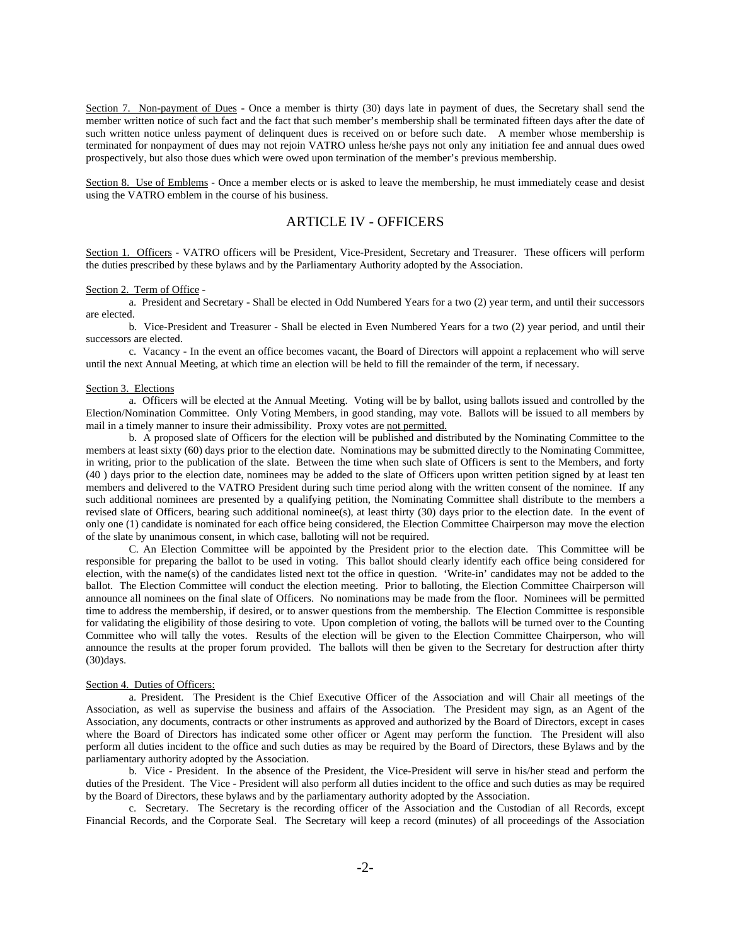Section 7. Non-payment of Dues - Once a member is thirty (30) days late in payment of dues, the Secretary shall send the member written notice of such fact and the fact that such member's membership shall be terminated fifteen days after the date of such written notice unless payment of delinquent dues is received on or before such date. A member whose membership is terminated for nonpayment of dues may not rejoin VATRO unless he/she pays not only any initiation fee and annual dues owed prospectively, but also those dues which were owed upon termination of the member's previous membership.

Section 8. Use of Emblems - Once a member elects or is asked to leave the membership, he must immediately cease and desist using the VATRO emblem in the course of his business.

### ARTICLE IV - OFFICERS

Section 1. Officers - VATRO officers will be President, Vice-President, Secretary and Treasurer. These officers will perform the duties prescribed by these bylaws and by the Parliamentary Authority adopted by the Association.

#### Section 2. Term of Office -

 a. President and Secretary - Shall be elected in Odd Numbered Years for a two (2) year term, and until their successors are elected.

 b. Vice-President and Treasurer - Shall be elected in Even Numbered Years for a two (2) year period, and until their successors are elected.

 c. Vacancy - In the event an office becomes vacant, the Board of Directors will appoint a replacement who will serve until the next Annual Meeting, at which time an election will be held to fill the remainder of the term, if necessary.

### Section 3. Elections

 a. Officers will be elected at the Annual Meeting. Voting will be by ballot, using ballots issued and controlled by the Election/Nomination Committee. Only Voting Members, in good standing, may vote. Ballots will be issued to all members by mail in a timely manner to insure their admissibility. Proxy votes are not permitted.

 b. A proposed slate of Officers for the election will be published and distributed by the Nominating Committee to the members at least sixty (60) days prior to the election date. Nominations may be submitted directly to the Nominating Committee, in writing, prior to the publication of the slate. Between the time when such slate of Officers is sent to the Members, and forty (40 ) days prior to the election date, nominees may be added to the slate of Officers upon written petition signed by at least ten members and delivered to the VATRO President during such time period along with the written consent of the nominee. If any such additional nominees are presented by a qualifying petition, the Nominating Committee shall distribute to the members a revised slate of Officers, bearing such additional nominee(s), at least thirty (30) days prior to the election date. In the event of only one (1) candidate is nominated for each office being considered, the Election Committee Chairperson may move the election of the slate by unanimous consent, in which case, balloting will not be required.

 C. An Election Committee will be appointed by the President prior to the election date. This Committee will be responsible for preparing the ballot to be used in voting. This ballot should clearly identify each office being considered for election, with the name(s) of the candidates listed next tot the office in question. 'Write-in' candidates may not be added to the ballot. The Election Committee will conduct the election meeting. Prior to balloting, the Election Committee Chairperson will announce all nominees on the final slate of Officers. No nominations may be made from the floor. Nominees will be permitted time to address the membership, if desired, or to answer questions from the membership. The Election Committee is responsible for validating the eligibility of those desiring to vote. Upon completion of voting, the ballots will be turned over to the Counting Committee who will tally the votes. Results of the election will be given to the Election Committee Chairperson, who will announce the results at the proper forum provided. The ballots will then be given to the Secretary for destruction after thirty  $(30)$ days.

#### Section 4. Duties of Officers:

 a. President. The President is the Chief Executive Officer of the Association and will Chair all meetings of the Association, as well as supervise the business and affairs of the Association. The President may sign, as an Agent of the Association, any documents, contracts or other instruments as approved and authorized by the Board of Directors, except in cases where the Board of Directors has indicated some other officer or Agent may perform the function. The President will also perform all duties incident to the office and such duties as may be required by the Board of Directors, these Bylaws and by the parliamentary authority adopted by the Association.

 b. Vice - President. In the absence of the President, the Vice-President will serve in his/her stead and perform the duties of the President. The Vice - President will also perform all duties incident to the office and such duties as may be required by the Board of Directors, these bylaws and by the parliamentary authority adopted by the Association.

 c. Secretary. The Secretary is the recording officer of the Association and the Custodian of all Records, except Financial Records, and the Corporate Seal. The Secretary will keep a record (minutes) of all proceedings of the Association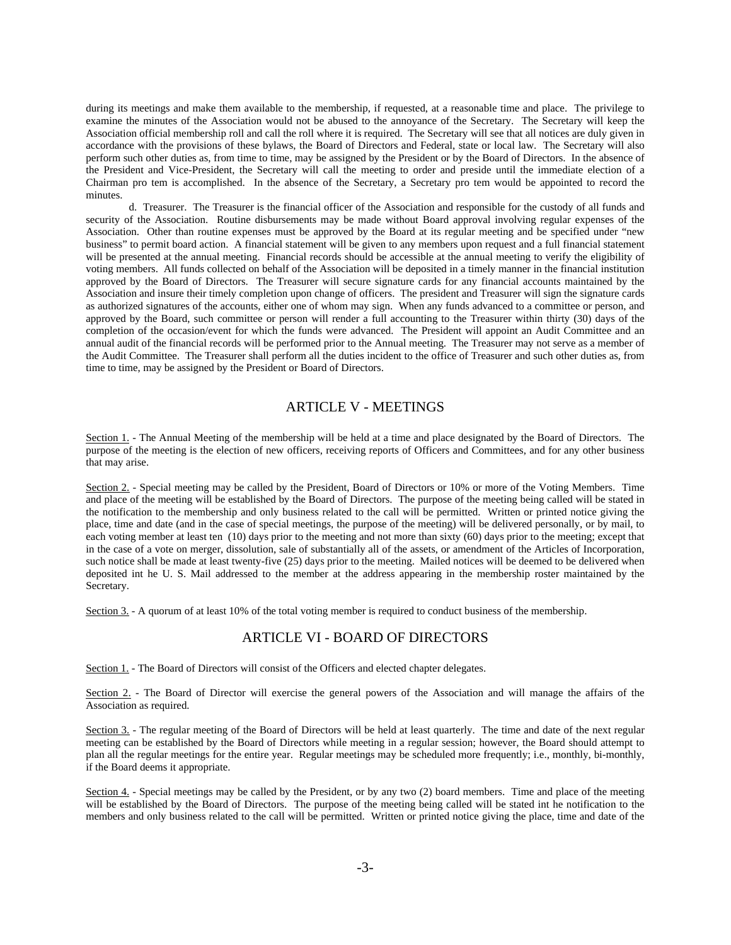during its meetings and make them available to the membership, if requested, at a reasonable time and place. The privilege to examine the minutes of the Association would not be abused to the annoyance of the Secretary. The Secretary will keep the Association official membership roll and call the roll where it is required. The Secretary will see that all notices are duly given in accordance with the provisions of these bylaws, the Board of Directors and Federal, state or local law. The Secretary will also perform such other duties as, from time to time, may be assigned by the President or by the Board of Directors. In the absence of the President and Vice-President, the Secretary will call the meeting to order and preside until the immediate election of a Chairman pro tem is accomplished. In the absence of the Secretary, a Secretary pro tem would be appointed to record the minutes.

 d. Treasurer. The Treasurer is the financial officer of the Association and responsible for the custody of all funds and security of the Association. Routine disbursements may be made without Board approval involving regular expenses of the Association. Other than routine expenses must be approved by the Board at its regular meeting and be specified under "new business" to permit board action. A financial statement will be given to any members upon request and a full financial statement will be presented at the annual meeting. Financial records should be accessible at the annual meeting to verify the eligibility of voting members. All funds collected on behalf of the Association will be deposited in a timely manner in the financial institution approved by the Board of Directors. The Treasurer will secure signature cards for any financial accounts maintained by the Association and insure their timely completion upon change of officers. The president and Treasurer will sign the signature cards as authorized signatures of the accounts, either one of whom may sign. When any funds advanced to a committee or person, and approved by the Board, such committee or person will render a full accounting to the Treasurer within thirty (30) days of the completion of the occasion/event for which the funds were advanced. The President will appoint an Audit Committee and an annual audit of the financial records will be performed prior to the Annual meeting. The Treasurer may not serve as a member of the Audit Committee. The Treasurer shall perform all the duties incident to the office of Treasurer and such other duties as, from time to time, may be assigned by the President or Board of Directors.

## ARTICLE V - MEETINGS

Section 1. - The Annual Meeting of the membership will be held at a time and place designated by the Board of Directors. The purpose of the meeting is the election of new officers, receiving reports of Officers and Committees, and for any other business that may arise.

Section 2<sub>2</sub> - Special meeting may be called by the President, Board of Directors or 10% or more of the Voting Members. Time and place of the meeting will be established by the Board of Directors. The purpose of the meeting being called will be stated in the notification to the membership and only business related to the call will be permitted. Written or printed notice giving the place, time and date (and in the case of special meetings, the purpose of the meeting) will be delivered personally, or by mail, to each voting member at least ten (10) days prior to the meeting and not more than sixty (60) days prior to the meeting; except that in the case of a vote on merger, dissolution, sale of substantially all of the assets, or amendment of the Articles of Incorporation, such notice shall be made at least twenty-five (25) days prior to the meeting. Mailed notices will be deemed to be delivered when deposited int he U. S. Mail addressed to the member at the address appearing in the membership roster maintained by the Secretary.

Section  $3.$  - A quorum of at least 10% of the total voting member is required to conduct business of the membership.

### ARTICLE VI - BOARD OF DIRECTORS

Section 1. - The Board of Directors will consist of the Officers and elected chapter delegates.

Section 2. - The Board of Director will exercise the general powers of the Association and will manage the affairs of the Association as required.

Section 3. - The regular meeting of the Board of Directors will be held at least quarterly. The time and date of the next regular meeting can be established by the Board of Directors while meeting in a regular session; however, the Board should attempt to plan all the regular meetings for the entire year. Regular meetings may be scheduled more frequently; i.e., monthly, bi-monthly, if the Board deems it appropriate.

Section  $4.$  - Special meetings may be called by the President, or by any two (2) board members. Time and place of the meeting will be established by the Board of Directors. The purpose of the meeting being called will be stated int he notification to the members and only business related to the call will be permitted. Written or printed notice giving the place, time and date of the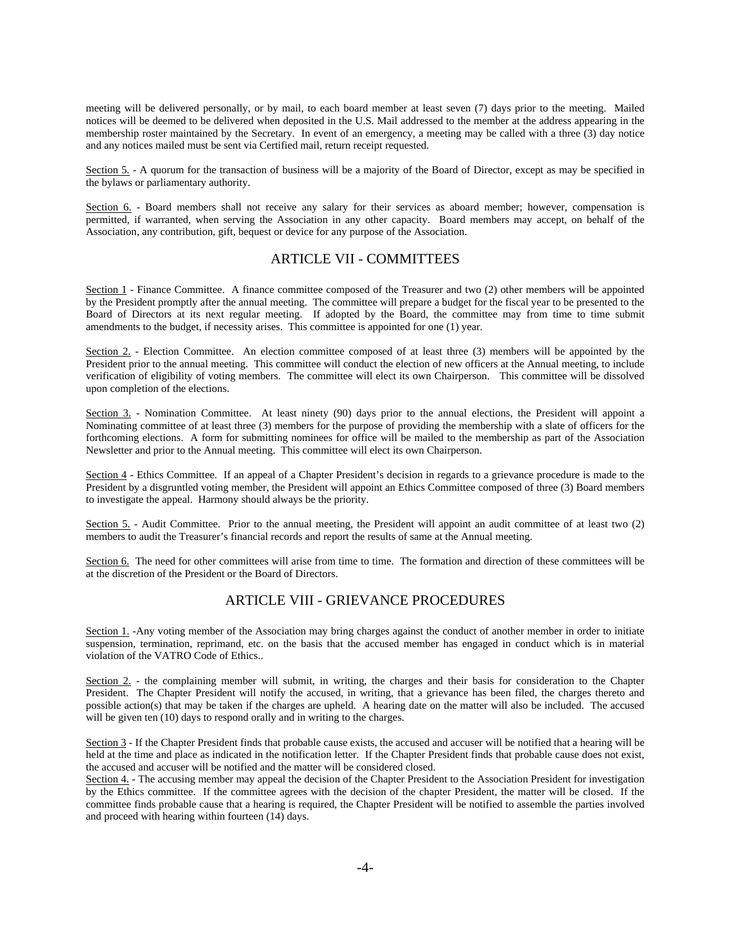meeting will be delivered personally, or by mail, to each board member at least seven (7) days prior to the meeting. Mailed notices will be deemed to be delivered when deposited in the U.S. Mail addressed to the member at the address appearing in the membership roster maintained by the Secretary. In event of an emergency, a meeting may be called with a three (3) day notice and any notices mailed must be sent via Certified mail, return receipt requested.

Section 5. - A quorum for the transaction of business will be a majority of the Board of Director, except as may be specified in the bylaws or parliamentary authority.

Section 6. - Board members shall not receive any salary for their services as aboard member; however, compensation is permitted, if warranted, when serving the Association in any other capacity. Board members may accept, on behalf of the Association, any contribution, gift, bequest or device for any purpose of the Association.

## ARTICLE VII - COMMITTEES

Section 1 - Finance Committee. A finance committee composed of the Treasurer and two (2) other members will be appointed by the President promptly after the annual meeting. The committee will prepare a budget for the fiscal year to be presented to the Board of Directors at its next regular meeting. If adopted by the Board, the committee may from time to time submit amendments to the budget, if necessity arises. This committee is appointed for one (1) year.

Section 2. - Election Committee. An election committee composed of at least three (3) members will be appointed by the President prior to the annual meeting. This committee will conduct the election of new officers at the Annual meeting, to include verification of eligibility of voting members. The committee will elect its own Chairperson. This committee will be dissolved upon completion of the elections.

Section 3. - Nomination Committee. At least ninety (90) days prior to the annual elections, the President will appoint a Nominating committee of at least three (3) members for the purpose of providing the membership with a slate of officers for the forthcoming elections. A form for submitting nominees for office will be mailed to the membership as part of the Association Newsletter and prior to the Annual meeting. This committee will elect its own Chairperson.

Section 4 - Ethics Committee. If an appeal of a Chapter President's decision in regards to a grievance procedure is made to the President by a disgruntled voting member, the President will appoint an Ethics Committee composed of three (3) Board members to investigate the appeal. Harmony should always be the priority.

Section 5. - Audit Committee. Prior to the annual meeting, the President will appoint an audit committee of at least two (2) members to audit the Treasurer's financial records and report the results of same at the Annual meeting.

Section 6. The need for other committees will arise from time to time. The formation and direction of these committees will be at the discretion of the President or the Board of Directors.

## ARTICLE VIII - GRIEVANCE PROCEDURES

Section 1. -Any voting member of the Association may bring charges against the conduct of another member in order to initiate suspension, termination, reprimand, etc. on the basis that the accused member has engaged in conduct which is in material violation of the VATRO Code of Ethics..

Section 2. - the complaining member will submit, in writing, the charges and their basis for consideration to the Chapter President. The Chapter President will notify the accused, in writing, that a grievance has been filed, the charges thereto and possible action(s) that may be taken if the charges are upheld. A hearing date on the matter will also be included. The accused will be given ten (10) days to respond orally and in writing to the charges.

Section 3 - If the Chapter President finds that probable cause exists, the accused and accuser will be notified that a hearing will be held at the time and place as indicated in the notification letter. If the Chapter President finds that probable cause does not exist, the accused and accuser will be notified and the matter will be considered closed.

Section 4. - The accusing member may appeal the decision of the Chapter President to the Association President for investigation by the Ethics committee. If the committee agrees with the decision of the chapter President, the matter will be closed. If the committee finds probable cause that a hearing is required, the Chapter President will be notified to assemble the parties involved and proceed with hearing within fourteen (14) days.